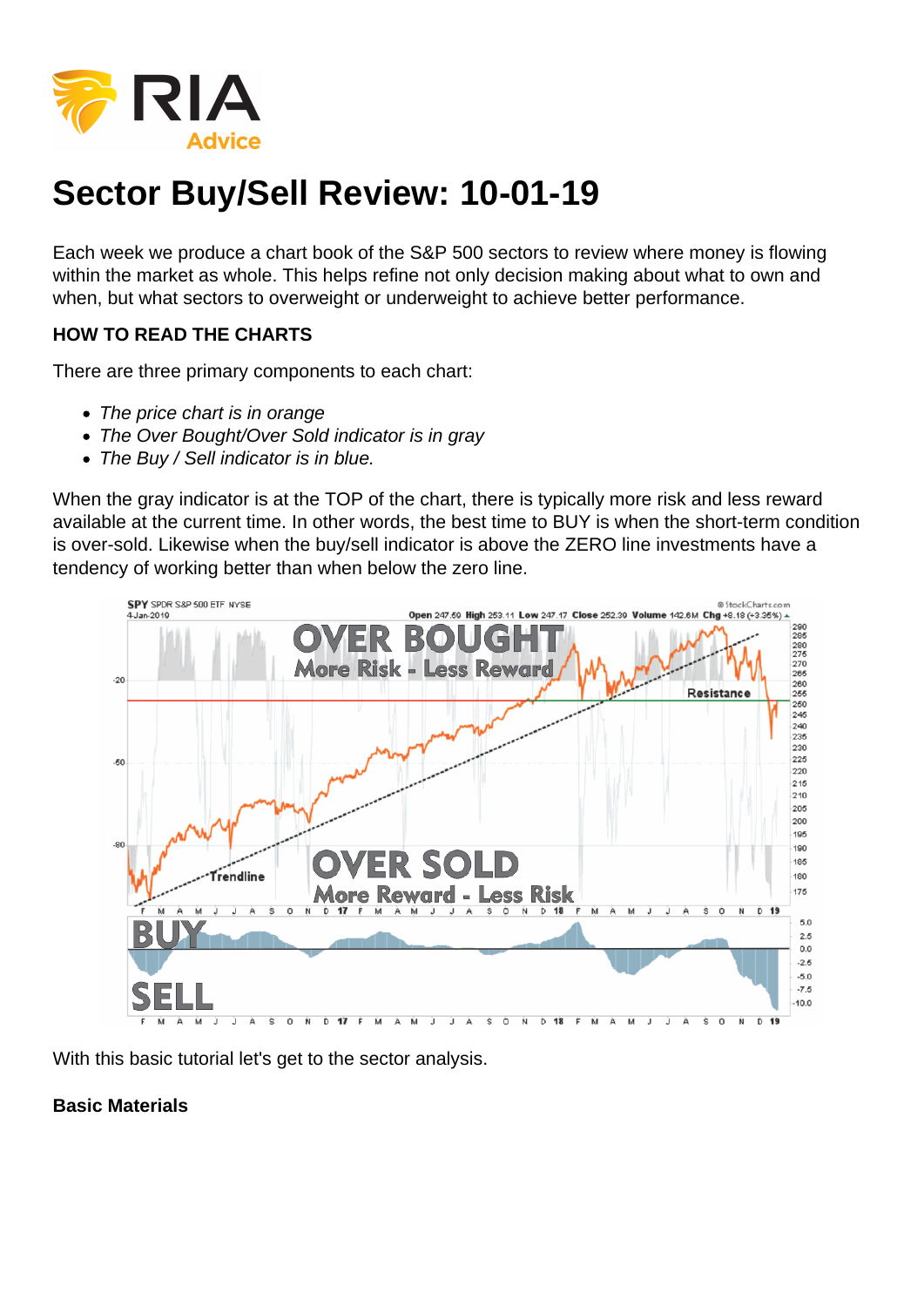## Sector Buy/Sell Review: 10-01-19

Each week we produce a chart book of the S&P 500 sectors to review where money is flowing within the market as whole. This helps refine not only decision making about what to own and when, but what sectors to overweight or underweight to achieve better performance.

HOW TO READ THE CHARTS

There are three primary components to each chart:

- The price chart is in orange
- The Over Bought/Over Sold indicator is in gray
- The Buy / Sell indicator is in blue.

When the gray indicator is at the TOP of the chart, there is typically more risk and less reward available at the current time. In other words, the best time to BUY is when the short-term condition is over-sold. Likewise when the buy/sell indicator is above the ZERO line investments have a tendency of working better than when below the zero line.

With this basic tutorial let's get to the sector analysis.

Basic Materials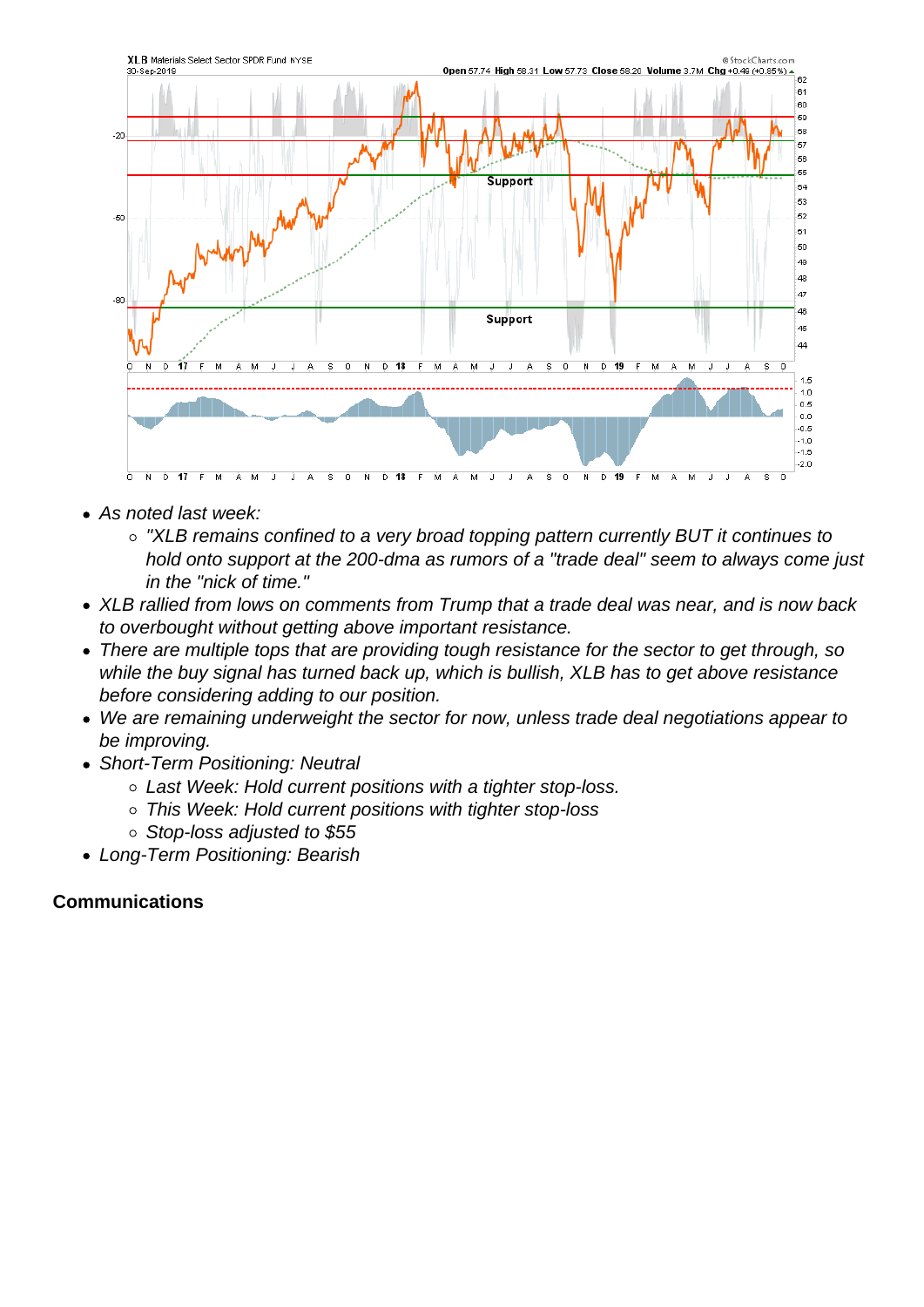- As noted last week:
	- "XLB remains confined to a very broad topping pattern currently BUT it continues to hold onto support at the 200-dma as rumors of a "trade deal" seem to always come just in the "nick of time."
- XLB rallied from lows on comments from Trump that a trade deal was near, and is now back to overbought without getting above important resistance.
- There are multiple tops that are providing tough resistance for the sector to get through, so while the buy signal has turned back up, which is bullish, XLB has to get above resistance before considering adding to our position.
- We are remaining underweight the sector for now, unless trade deal negotiations appear to be improving.
- Short-Term Positioning: Neutral
	- Last Week: Hold current positions with a tighter stop-loss.
	- This Week: Hold current positions with tighter stop-loss
	- Stop-loss adjusted to \$55
- Long-Term Positioning: Bearish

Communications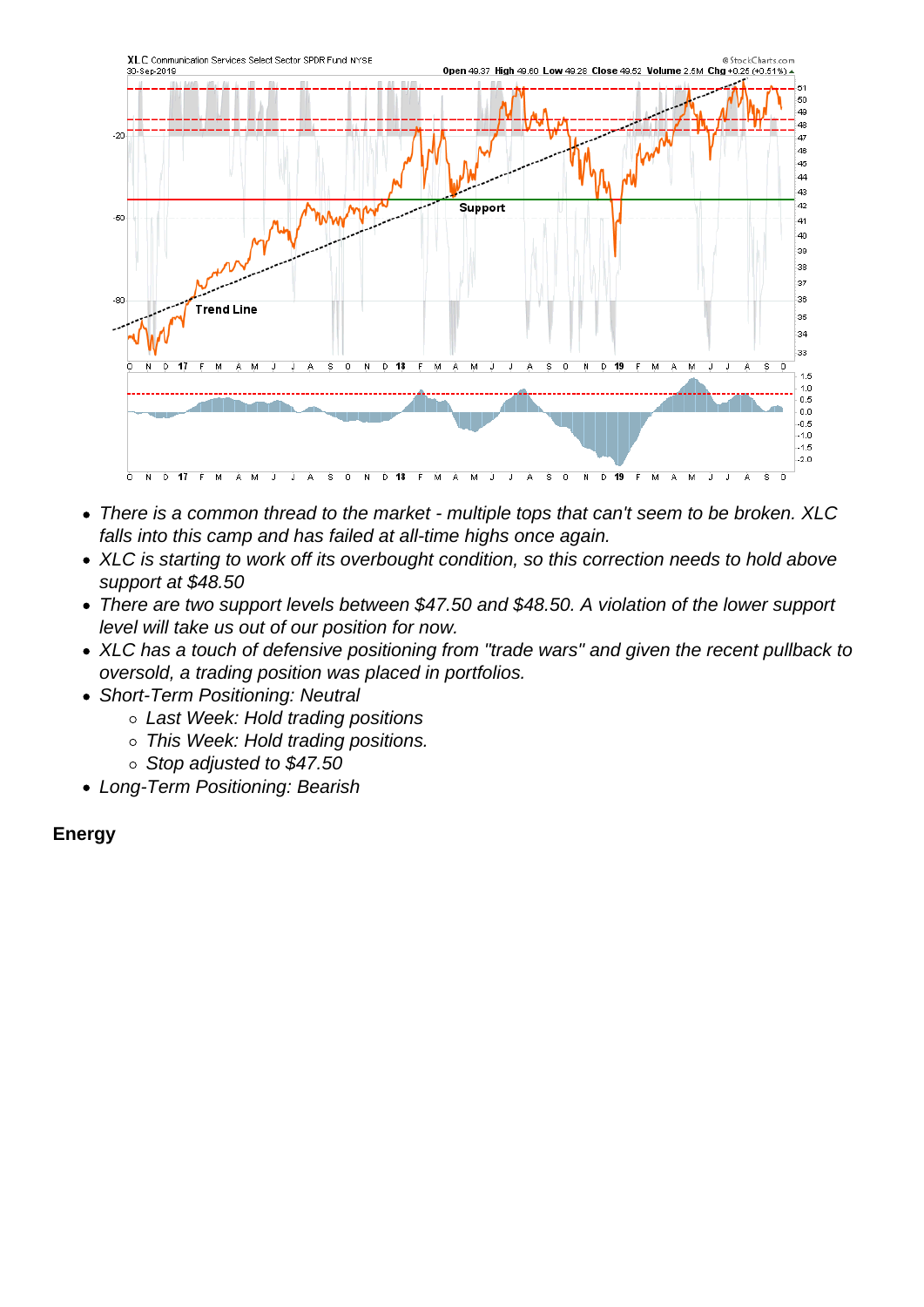- There is a common thread to the market multiple tops that can't seem to be broken. XLC falls into this camp and has failed at all-time highs once again.
- XLC is starting to work off its overbought condition, so this correction needs to hold above support at \$48.50
- There are two support levels between \$47.50 and \$48.50. A violation of the lower support level will take us out of our position for now.
- XLC has a touch of defensive positioning from "trade wars" and given the recent pullback to oversold, a trading position was placed in portfolios.
- Short-Term Positioning: Neutral
	- o Last Week: Hold trading positions
	- o This Week: Hold trading positions.
	- $\circ$  Stop adjusted to \$47.50
- Long-Term Positioning: Bearish

Energy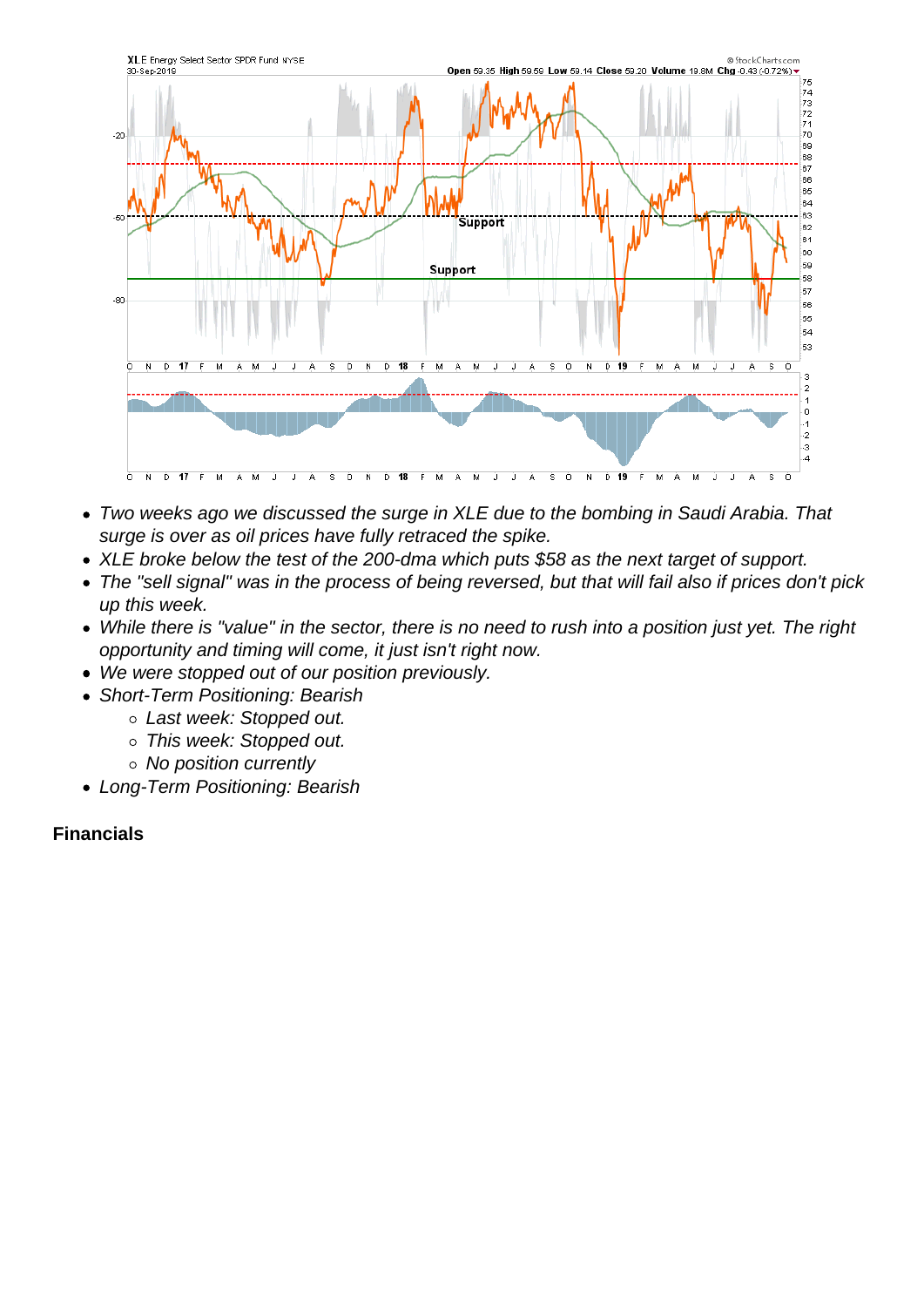- Two weeks ago we discussed the surge in XLE due to the bombing in Saudi Arabia. That surge is over as oil prices have fully retraced the spike.
- XLE broke below the test of the 200-dma which puts \$58 as the next target of support.
- The "sell signal" was in the process of being reversed, but that will fail also if prices don't pick up this week.
- While there is "value" in the sector, there is no need to rush into a position just yet. The right opportunity and timing will come, it just isn't right now.
- We were stopped out of our position previously.
- Short-Term Positioning: Bearish
	- Last week: Stopped out.
	- o This week: Stopped out.
	- No position currently
- Long-Term Positioning: Bearish

Financials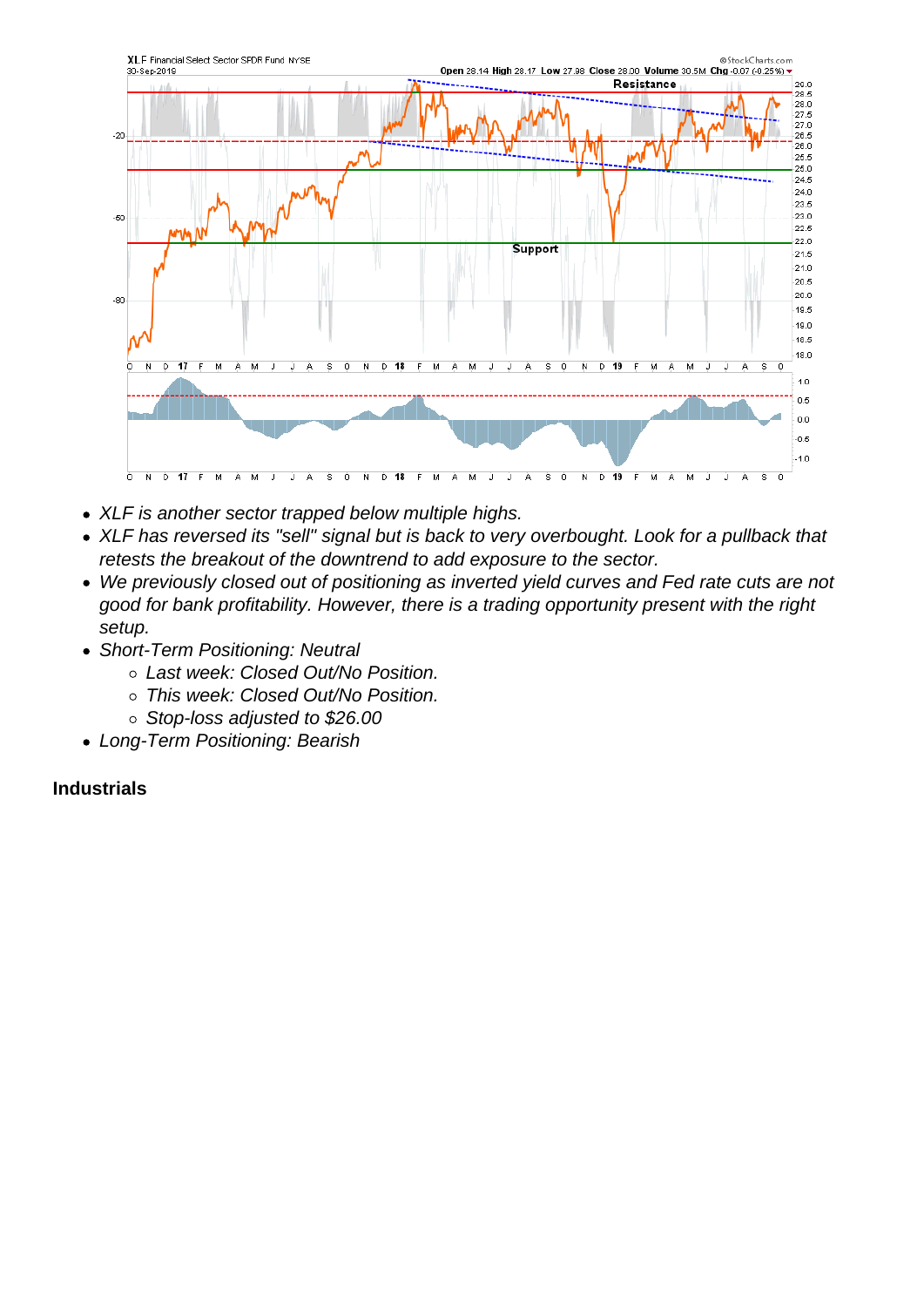- XLF is another sector trapped below multiple highs.
- XLF has reversed its "sell" signal but is back to very overbought. Look for a pullback that retests the breakout of the downtrend to add exposure to the sector.
- We previously closed out of positioning as inverted yield curves and Fed rate cuts are not good for bank profitability. However, there is a trading opportunity present with the right setup.
- Short-Term Positioning: Neutral
	- Last week: Closed Out/No Position.
	- o This week: Closed Out/No Position.
	- o Stop-loss adjusted to \$26.00
- Long-Term Positioning: Bearish

Industrials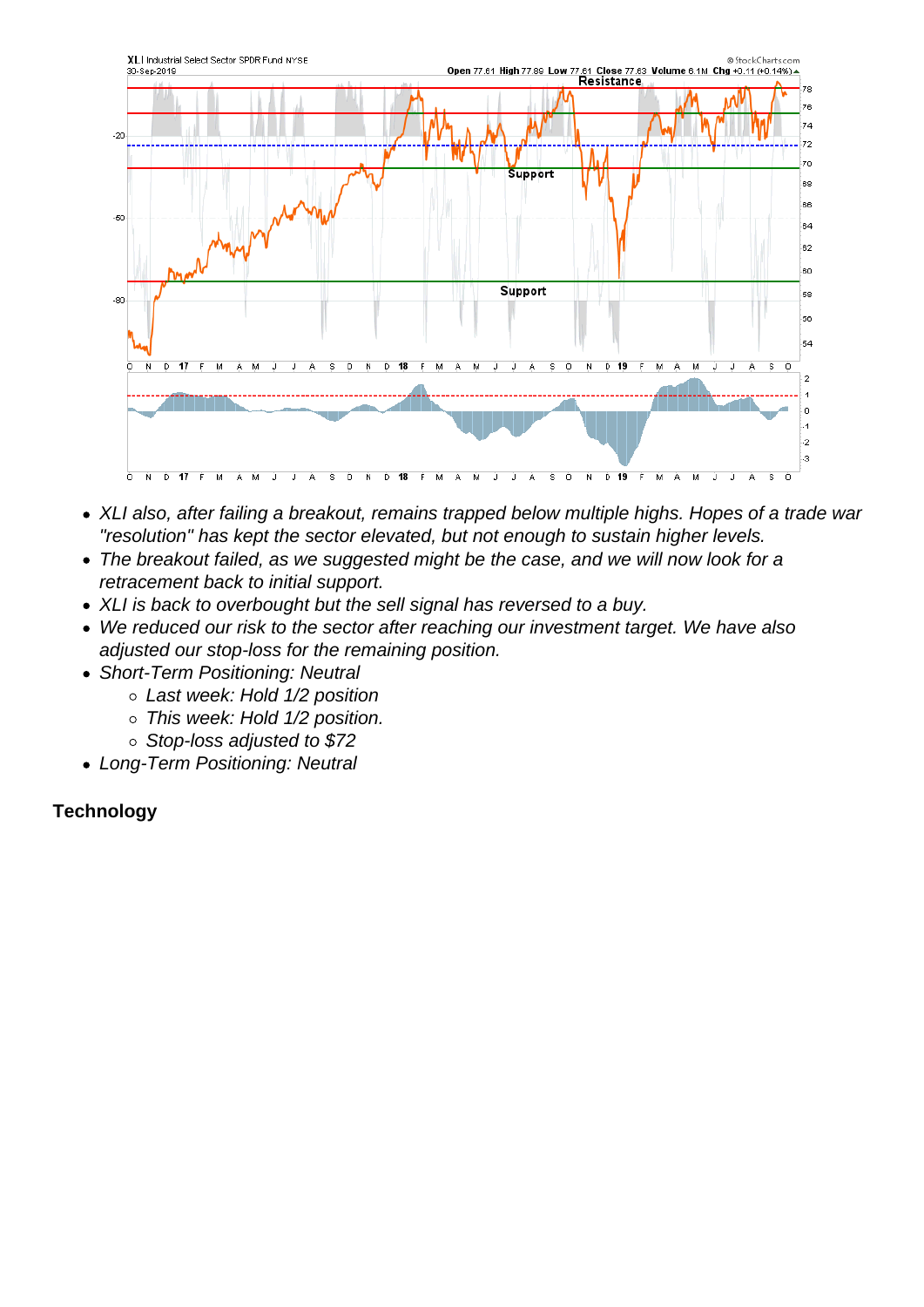- XLI also, after failing a breakout, remains trapped below multiple highs. Hopes of a trade war "resolution" has kept the sector elevated, but not enough to sustain higher levels.
- The breakout failed, as we suggested might be the case, and we will now look for a retracement back to initial support.
- XLI is back to overbought but the sell signal has reversed to a buy.
- We reduced our risk to the sector after reaching our investment target. We have also adjusted our stop-loss for the remaining position.
- Short-Term Positioning: Neutral
	- Last week: Hold 1/2 position
	- o This week: Hold 1/2 position.
	- o Stop-loss adjusted to \$72
- Long-Term Positioning: Neutral

**Technology**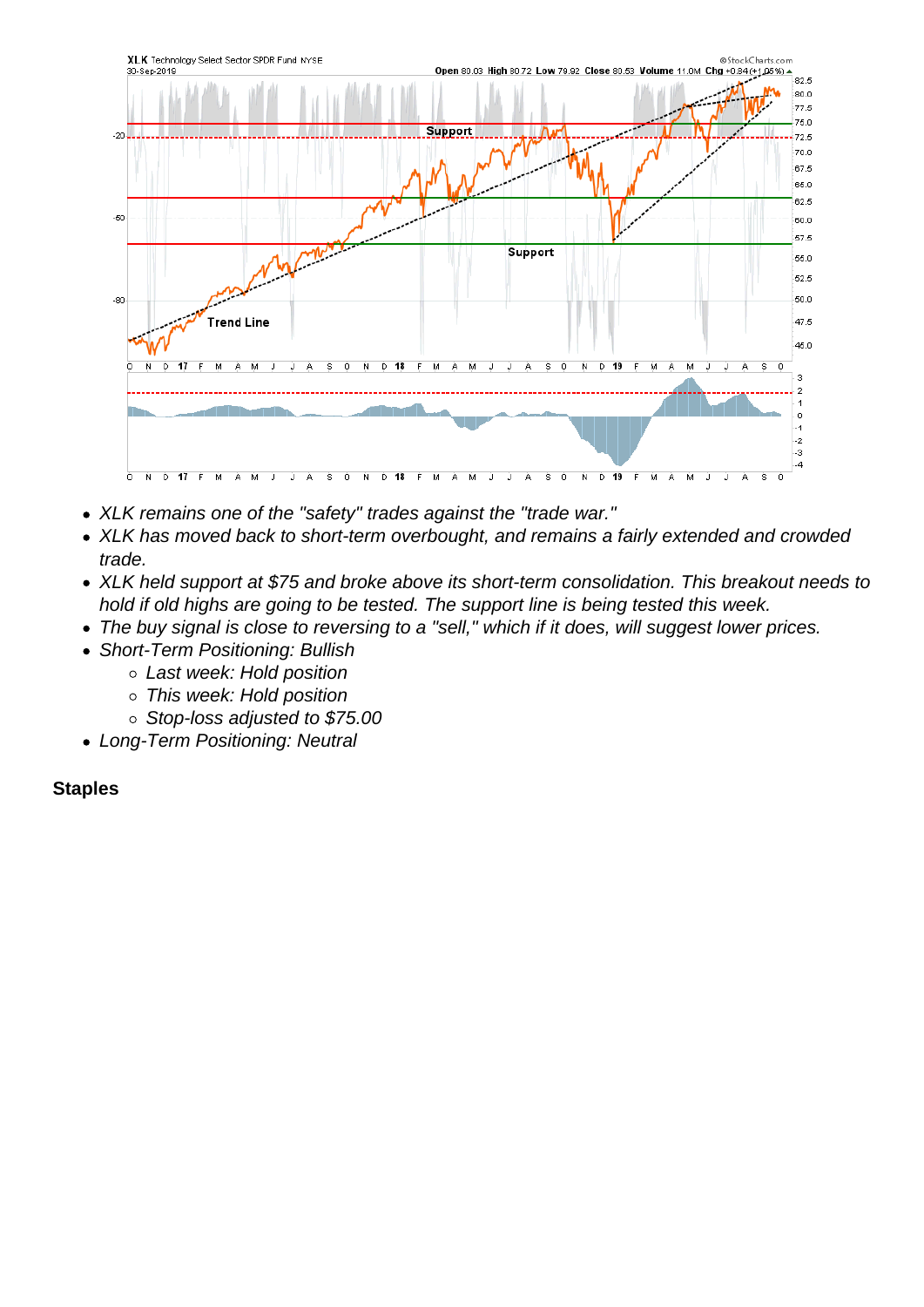- XLK remains one of the "safety" trades against the "trade war."
- XLK has moved back to short-term overbought, and remains a fairly extended and crowded trade.
- XLK held support at \$75 and broke above its short-term consolidation. This breakout needs to hold if old highs are going to be tested. The support line is being tested this week.
- The buy signal is close to reversing to a "sell," which if it does, will suggest lower prices.
- Short-Term Positioning: Bullish
	- Last week: Hold position
		- This week: Hold position
	- o Stop-loss adjusted to \$75.00
- Long-Term Positioning: Neutral

**Staples**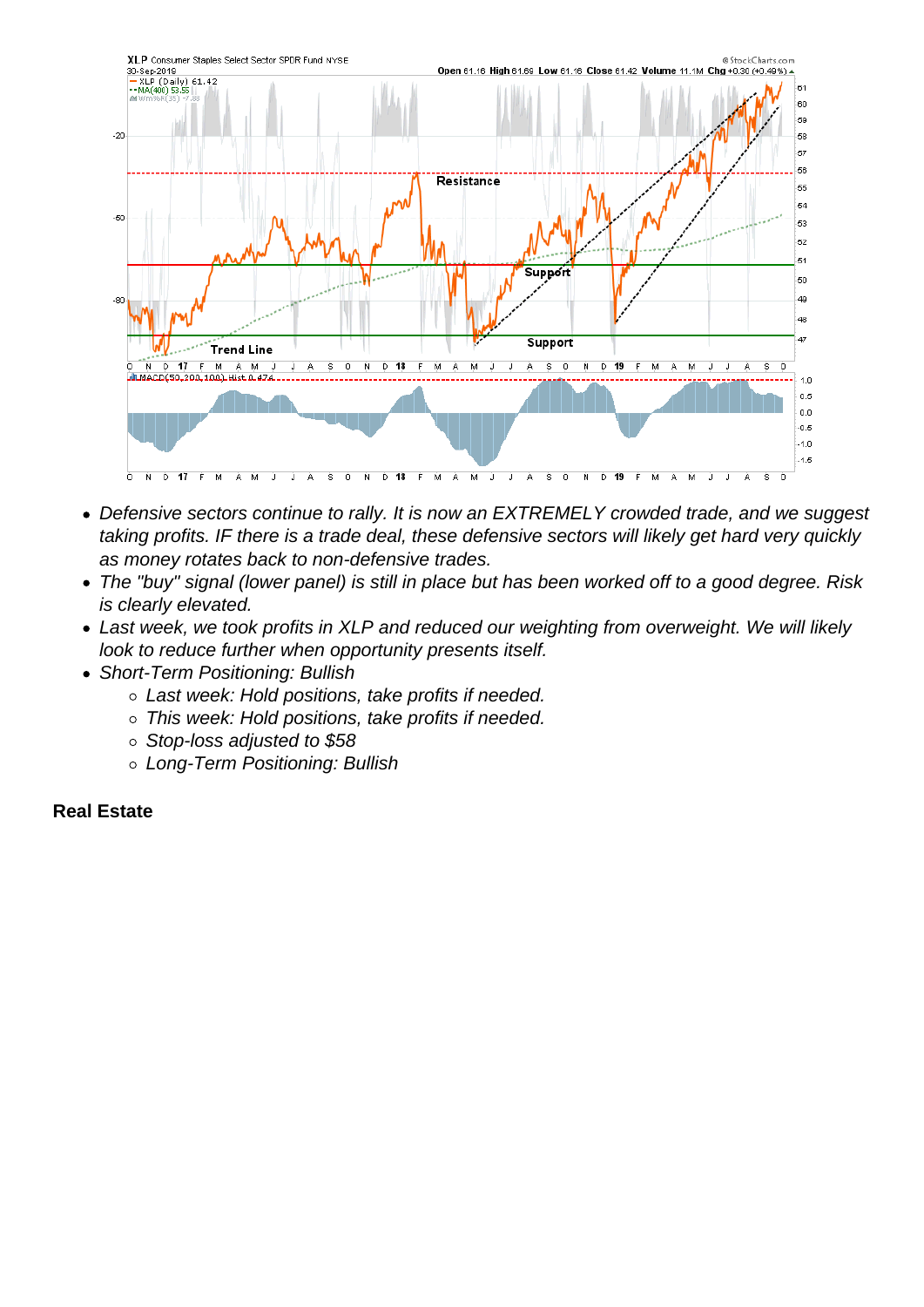- Defensive sectors continue to rally. It is now an EXTREMELY crowded trade, and we suggest taking profits. IF there is a trade deal, these defensive sectors will likely get hard very quickly as money rotates back to non-defensive trades.
- The "buy" signal (lower panel) is still in place but has been worked off to a good degree. Risk is clearly elevated.
- Last week, we took profits in XLP and reduced our weighting from overweight. We will likely look to reduce further when opportunity presents itself.
- Short-Term Positioning: Bullish
	- Last week: Hold positions, take profits if needed.
	- This week: Hold positions, take profits if needed.
	- Stop-loss adjusted to \$58
	- Long-Term Positioning: Bullish

Real Estate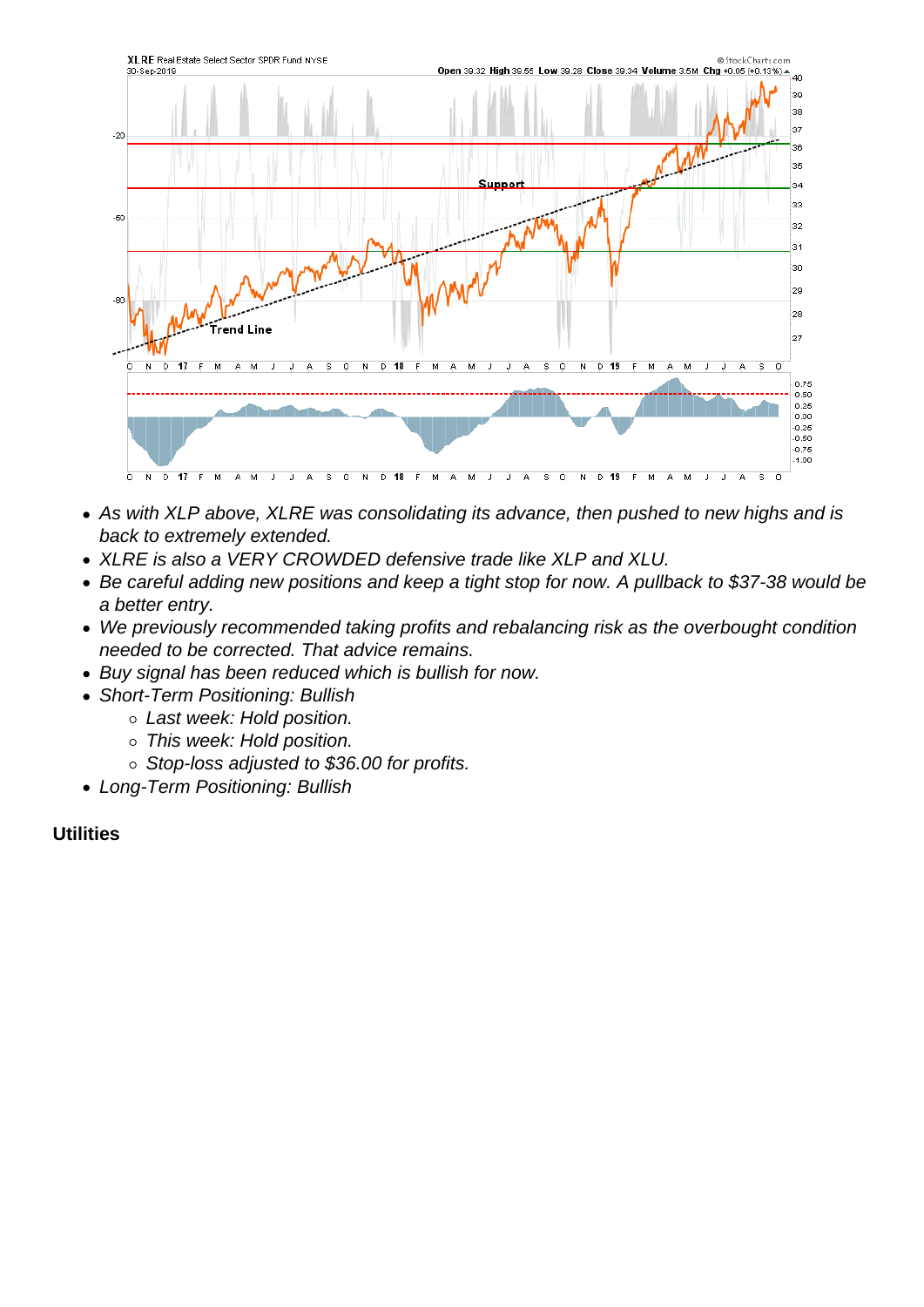- As with XLP above, XLRE was consolidating its advance, then pushed to new highs and is back to extremely extended.
- XLRE is also a VERY CROWDED defensive trade like XLP and XLU.
- Be careful adding new positions and keep a tight stop for now. A pullback to \$37-38 would be a better entry.
- We previously recommended taking profits and rebalancing risk as the overbought condition needed to be corrected. That advice remains.
- Buy signal has been reduced which is bullish for now.
- Short-Term Positioning: Bullish
	- Last week: Hold position.
	- o This week: Hold position.
	- Stop-loss adjusted to \$36.00 for profits.
- Long-Term Positioning: Bullish

**Utilities**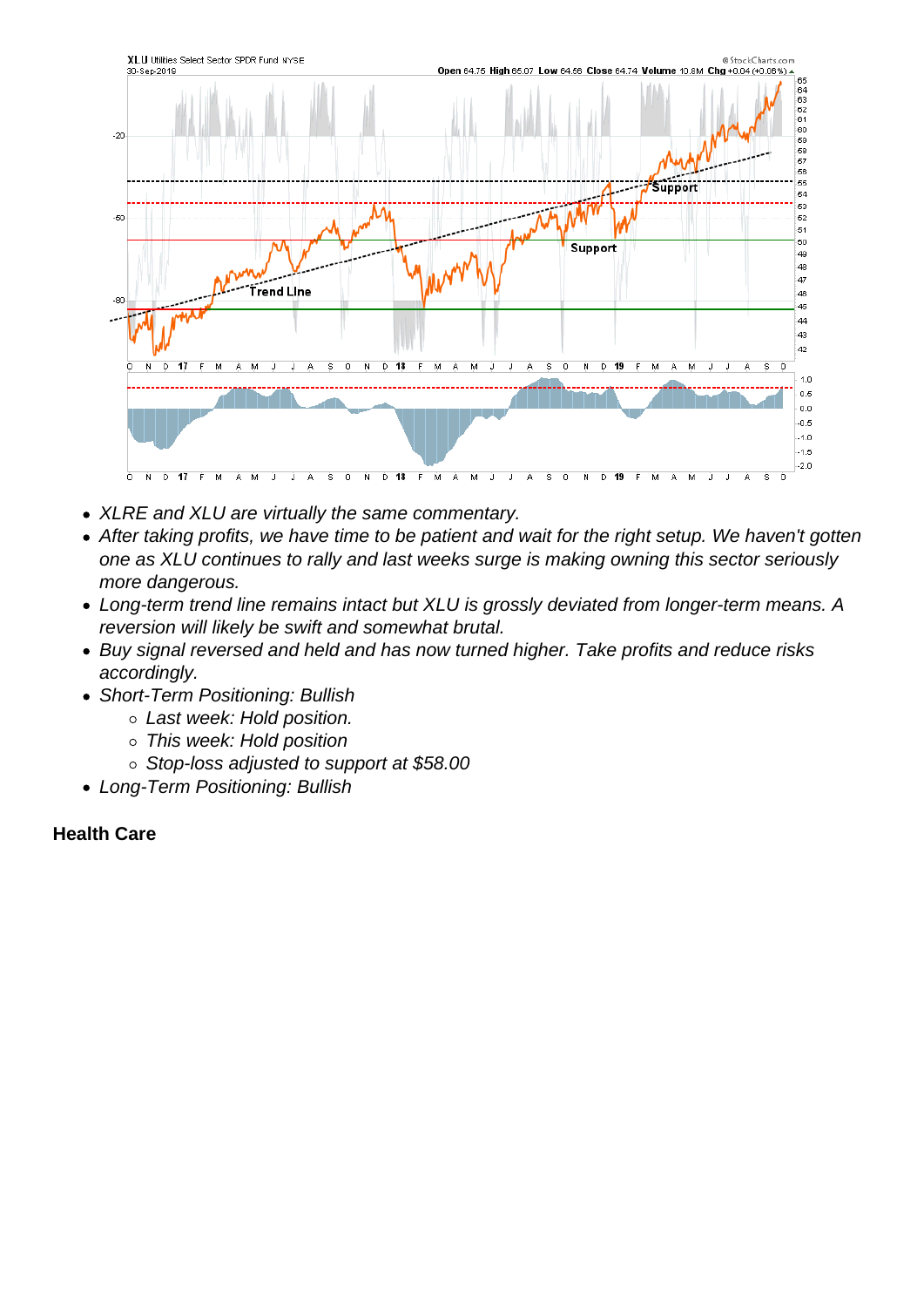- XLRE and XLU are virtually the same commentary.
- After taking profits, we have time to be patient and wait for the right setup. We haven't gotten one as XLU continues to rally and last weeks surge is making owning this sector seriously more dangerous.
- Long-term trend line remains intact but XLU is grossly deviated from longer-term means. A reversion will likely be swift and somewhat brutal.
- Buy signal reversed and held and has now turned higher. Take profits and reduce risks accordingly.
- Short-Term Positioning: Bullish
	- Last week: Hold position.
	- This week: Hold position
	- Stop-loss adjusted to support at \$58.00
- Long-Term Positioning: Bullish

Health Care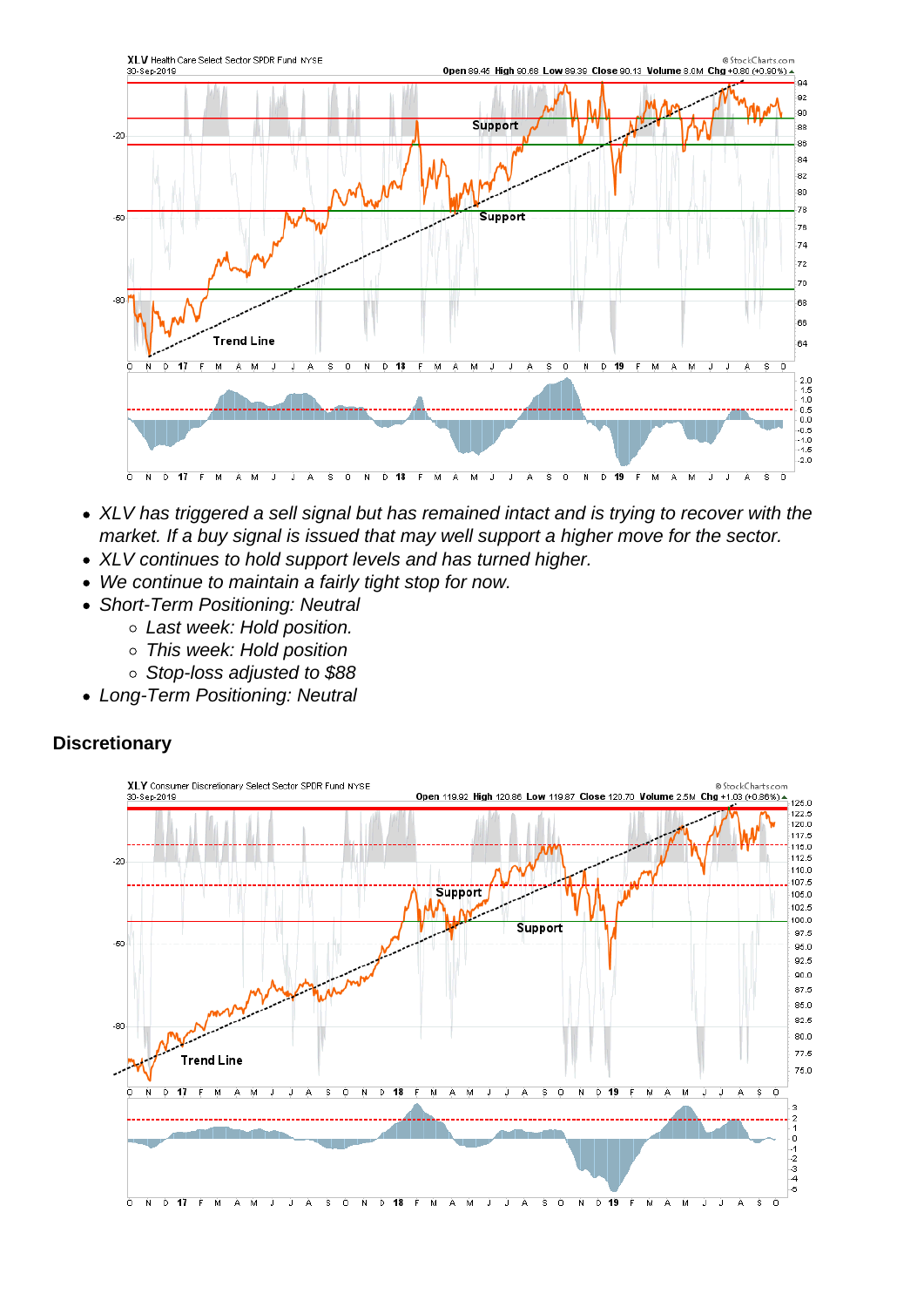- XLV has triggered a sell signal but has remained intact and is trying to recover with the market. If a buy signal is issued that may well support a higher move for the sector.
- XLV continues to hold support levels and has turned higher.
- We continue to maintain a fairly tight stop for now.
- Short-Term Positioning: Neutral
	- Last week: Hold position.
	- This week: Hold position
	- Stop-loss adjusted to \$88
- Long-Term Positioning: Neutral

**Discretionary**